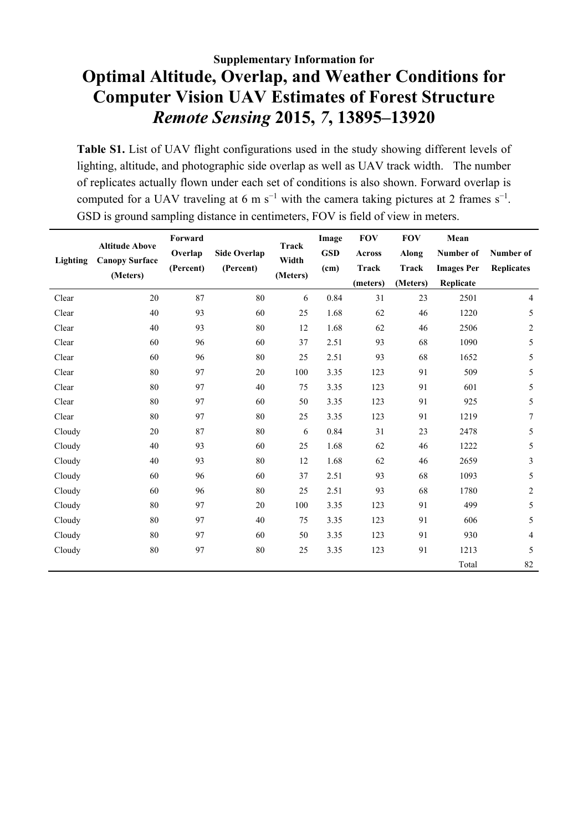## **Supplementary Information for Optimal Altitude, Overlap, and Weather Conditions for Computer Vision UAV Estimates of Forest Structure** *Remote Sensing* **2015,** *7***, 13895–13920**

Table S1. List of UAV flight configurations used in the study showing different levels of lighting, altitude, and photographic side overlap as well as UAV track width. The number of replicates actually flown under each set of conditions is also shown. Forward overlap is computed for a UAV traveling at 6 m s<sup>-1</sup> with the camera taking pictures at 2 frames s<sup>-1</sup>. GSD is ground sampling distance in centimeters, FOV is field of view in meters.

|          |                                                | Forward              |                                  |                            | Image      | <b>FOV</b>    | <b>FOV</b> | Mean              |                   |
|----------|------------------------------------------------|----------------------|----------------------------------|----------------------------|------------|---------------|------------|-------------------|-------------------|
| Lighting | <b>Altitude Above</b><br><b>Canopy Surface</b> | Overlap<br>(Percent) | <b>Side Overlap</b><br>(Percent) | Track<br>Width<br>(Meters) | <b>GSD</b> | <b>Across</b> | Along      | Number of         | Number of         |
|          |                                                |                      |                                  |                            | (cm)       | <b>Track</b>  | Track      | <b>Images Per</b> | <b>Replicates</b> |
|          | (Meters)                                       |                      |                                  |                            |            | (meters)      | (Meters)   | Replicate         |                   |
| Clear    | 20                                             | 87                   | 80                               | 6                          | 0.84       | 31            | 23         | 2501              | 4                 |
| Clear    | 40                                             | 93                   | 60                               | 25                         | 1.68       | 62            | 46         | 1220              | 5                 |
| Clear    | 40                                             | 93                   | 80                               | 12                         | 1.68       | 62            | 46         | 2506              | $\overline{c}$    |
| Clear    | 60                                             | 96                   | 60                               | 37                         | 2.51       | 93            | 68         | 1090              | 5                 |
| Clear    | 60                                             | 96                   | 80                               | 25                         | 2.51       | 93            | 68         | 1652              | 5                 |
| Clear    | 80                                             | 97                   | 20                               | 100                        | 3.35       | 123           | 91         | 509               | 5                 |
| Clear    | 80                                             | 97                   | 40                               | 75                         | 3.35       | 123           | 91         | 601               | 5                 |
| Clear    | 80                                             | 97                   | 60                               | 50                         | 3.35       | 123           | 91         | 925               | 5                 |
| Clear    | 80                                             | 97                   | 80                               | 25                         | 3.35       | 123           | 91         | 1219              | 7                 |
| Cloudy   | 20                                             | 87                   | 80                               | 6                          | 0.84       | 31            | 23         | 2478              | 5                 |
| Cloudy   | 40                                             | 93                   | 60                               | 25                         | 1.68       | 62            | 46         | 1222              | 5                 |
| Cloudy   | 40                                             | 93                   | 80                               | 12                         | 1.68       | 62            | 46         | 2659              | 3                 |
| Cloudy   | 60                                             | 96                   | 60                               | 37                         | 2.51       | 93            | 68         | 1093              | 5                 |
| Cloudy   | 60                                             | 96                   | 80                               | 25                         | 2.51       | 93            | 68         | 1780              | $\overline{c}$    |
| Cloudy   | 80                                             | 97                   | 20                               | 100                        | 3.35       | 123           | 91         | 499               | 5                 |
| Cloudy   | 80                                             | 97                   | 40                               | 75                         | 3.35       | 123           | 91         | 606               | 5                 |
| Cloudy   | 80                                             | 97                   | 60                               | 50                         | 3.35       | 123           | 91         | 930               | 4                 |
| Cloudy   | 80                                             | 97                   | 80                               | 25                         | 3.35       | 123           | 91         | 1213              | 5                 |
|          |                                                |                      |                                  |                            |            |               |            | Total             | 82                |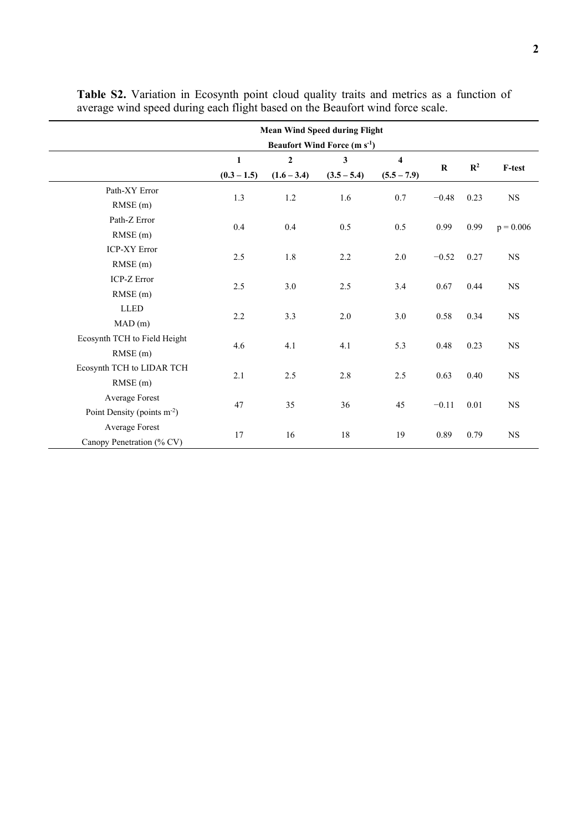|                                         | <b>Mean Wind Speed during Flight</b>          |                     |               |                         |         |                |             |  |  |
|-----------------------------------------|-----------------------------------------------|---------------------|---------------|-------------------------|---------|----------------|-------------|--|--|
|                                         | <b>Beaufort Wind Force (m s<sup>-1</sup>)</b> |                     |               |                         |         |                |             |  |  |
|                                         | $\mathbf{1}$                                  | $\overline{2}$<br>3 |               | $\overline{\mathbf{4}}$ |         |                |             |  |  |
|                                         | $(0.3 - 1.5)$                                 | $(1.6 - 3.4)$       | $(3.5 - 5.4)$ | $(5.5 - 7.9)$           | $\bf R$ | $\mathbb{R}^2$ | F-test      |  |  |
| Path-XY Error                           |                                               | $1.2\,$             | 1.6           | 0.7                     | $-0.48$ | 0.23           | <b>NS</b>   |  |  |
| RMSE(m)                                 | 1.3                                           |                     |               |                         |         |                |             |  |  |
| Path-Z Error                            |                                               | 0.4                 | 0.5           | 0.5                     | 0.99    | 0.99           |             |  |  |
| RMSE(m)                                 | 0.4                                           |                     |               |                         |         |                | $p = 0.006$ |  |  |
| <b>ICP-XY Error</b>                     | 2.5                                           | 1.8                 | 2.2           | 2.0                     | $-0.52$ | 0.27           | $_{\rm NS}$ |  |  |
| RMSE(m)                                 |                                               |                     |               |                         |         |                |             |  |  |
| <b>ICP-Z Error</b>                      | 2.5                                           | 3.0                 | 2.5           | 3.4                     | 0.67    | 0.44           | <b>NS</b>   |  |  |
| RMSE(m)                                 |                                               |                     |               |                         |         |                |             |  |  |
| <b>LLED</b>                             |                                               | 3.3                 | 2.0           | 3.0                     | 0.58    | 0.34           | $_{\rm NS}$ |  |  |
| MAD(m)                                  | 2.2                                           |                     |               |                         |         |                |             |  |  |
| Ecosynth TCH to Field Height            | 4.6                                           | 4.1                 | 4.1           | 5.3                     | 0.48    | 0.23           |             |  |  |
| $RMSE$ $(m)$                            |                                               |                     |               |                         |         |                | <b>NS</b>   |  |  |
| Ecosynth TCH to LIDAR TCH               | 2.1                                           | 2.5                 | 2.8           | 2.5                     | 0.63    | 0.40           | $_{\rm NS}$ |  |  |
| RMSE(m)                                 |                                               |                     |               |                         |         |                |             |  |  |
| Average Forest                          |                                               | 35                  | 36            | 45                      | $-0.11$ | 0.01           | $_{\rm NS}$ |  |  |
| Point Density (points m <sup>-2</sup> ) | 47                                            |                     |               |                         |         |                |             |  |  |
| Average Forest                          |                                               | 16                  | 18            | 19                      | 0.89    | 0.79           | <b>NS</b>   |  |  |
| Canopy Penetration (% CV)               | 17                                            |                     |               |                         |         |                |             |  |  |

**Table S2.** Variation in Ecosynth point cloud quality traits and metrics as a function of average wind speed during each flight based on the Beaufort wind force scale.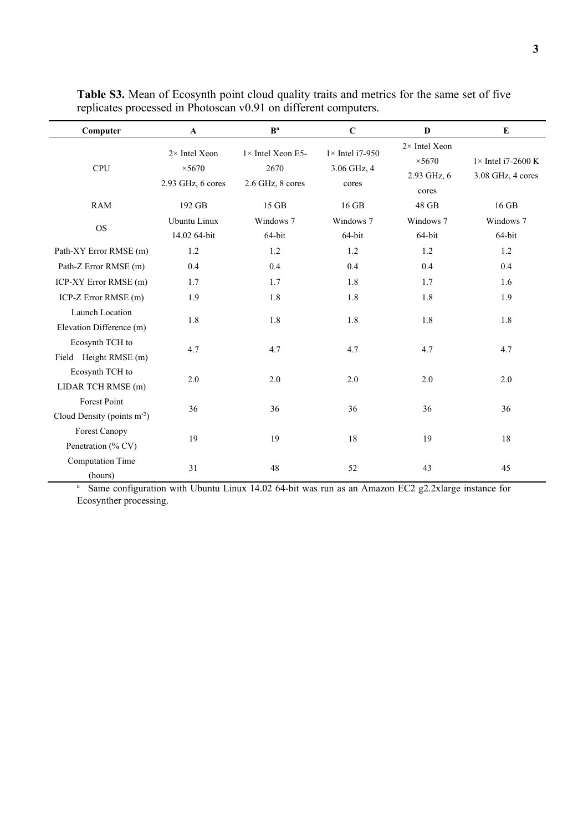| Computer                                      | $\mathbf{A}$                                                | B <sup>a</sup>                                        | $\mathbf C$                                     | D                                                              | E                                               |
|-----------------------------------------------|-------------------------------------------------------------|-------------------------------------------------------|-------------------------------------------------|----------------------------------------------------------------|-------------------------------------------------|
| <b>CPU</b>                                    | $2 \times$ Intel Xeon<br>$\times$ 5670<br>2.93 GHz, 6 cores | $1 \times$ Intel Xeon E5-<br>2670<br>2.6 GHz, 8 cores | $1 \times$ Intel i7-950<br>3.06 GHz, 4<br>cores | $2 \times$ Intel Xeon<br>$\times$ 5670<br>2.93 GHz, 6<br>cores | $1 \times$ Intel i7-2600 K<br>3.08 GHz, 4 cores |
| <b>RAM</b>                                    | 192 GB                                                      | 15 GB                                                 | 16 GB                                           | 48 GB                                                          | 16 GB                                           |
| <b>OS</b>                                     | Ubuntu Linux<br>14.02 64-bit                                | Windows 7<br>64-bit                                   | Windows 7<br>64-bit                             | Windows 7<br>64-bit                                            | Windows 7<br>64-bit                             |
| Path-XY Error RMSE (m)                        | 1.2                                                         | 1.2                                                   | 1.2                                             | 1.2                                                            | 1.2                                             |
| Path-Z Error RMSE (m)                         | 0.4                                                         | 0.4                                                   | 0.4                                             | 0.4                                                            | 0.4                                             |
| ICP-XY Error RMSE (m)                         | 1.7                                                         | 1.7                                                   | 1.8                                             | 1.7                                                            | 1.6                                             |
| ICP-Z Error RMSE (m)                          | 1.9                                                         | 1.8                                                   | 1.8                                             | 1.8                                                            | 1.9                                             |
| Launch Location<br>Elevation Difference (m)   | 1.8                                                         | 1.8                                                   | 1.8                                             | 1.8                                                            | 1.8                                             |
| Ecosynth TCH to<br>Field Height RMSE (m)      | 4.7                                                         | 4.7                                                   | 4.7                                             | 4.7                                                            | 4.7                                             |
| Ecosynth TCH to<br>LIDAR TCH RMSE (m)         | $2.0\,$                                                     | 2.0                                                   | 2.0                                             | 2.0                                                            | 2.0                                             |
| Forest Point<br>Cloud Density (points $m-2$ ) | 36                                                          | 36                                                    | 36                                              | 36                                                             | 36                                              |
| <b>Forest Canopy</b><br>Penetration (% CV)    | 19                                                          | 19                                                    | 18                                              | 19                                                             | 18                                              |
| <b>Computation Time</b><br>(hours)            | 31                                                          | 48                                                    | 52                                              | 43                                                             | 45                                              |

**Table S3.** Mean of Ecosynth point cloud quality traits and metrics for the same set of five replicates processed in Photoscan v0.91 on different computers.

<sup>a</sup> Same configuration with Ubuntu Linux 14.02 64-bit was run as an Amazon EC2 g2.2xlarge instance for Ecosynther processing.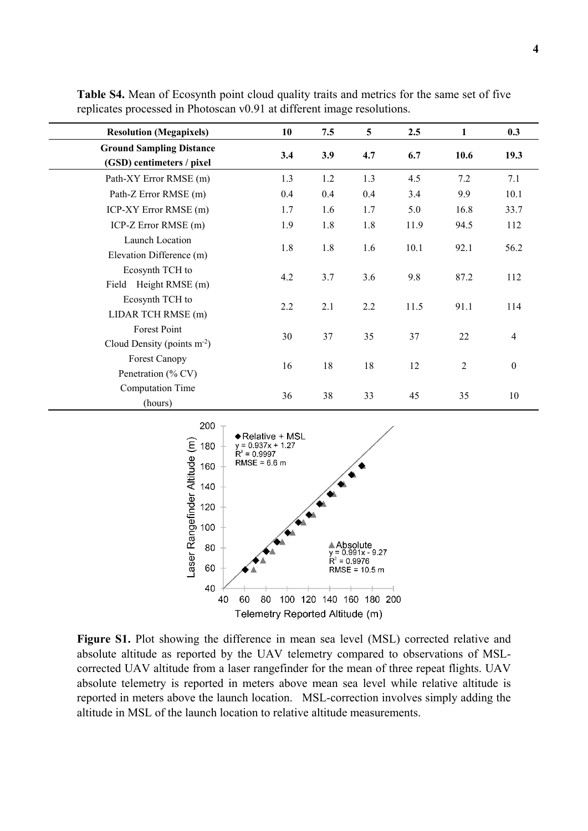| <b>Resolution (Megapixels)</b>                               | 10  | 7.5 | $5\overline{)}$ | 2.5  | 1              | 0.3              |
|--------------------------------------------------------------|-----|-----|-----------------|------|----------------|------------------|
| <b>Ground Sampling Distance</b><br>(GSD) centimeters / pixel | 3.4 | 3.9 | 4.7             | 6.7  | 10.6           | 19.3             |
| Path-XY Error RMSE (m)                                       | 1.3 | 1.2 | 1.3             | 4.5  | 7.2            | 7.1              |
| Path-Z Error RMSE (m)                                        | 0.4 | 0.4 | 0.4             | 3.4  | 9.9            | 10.1             |
| ICP-XY Error RMSE (m)                                        | 1.7 | 1.6 | 1.7             | 5.0  | 16.8           | 33.7             |
| ICP-Z Error RMSE (m)                                         | 1.9 | 1.8 | 1.8             | 11.9 | 94.5           | 112              |
| Launch Location<br>Elevation Difference (m)                  | 1.8 | 1.8 | 1.6             | 10.1 | 92.1           | 56.2             |
| Ecosynth TCH to<br>Height RMSE (m)<br>Field                  | 4.2 | 3.7 | 3.6             | 9.8  | 87.2           | 112              |
| Ecosynth TCH to<br>LIDAR TCH RMSE (m)                        | 2.2 | 2.1 | 2.2             | 11.5 | 91.1           | 114              |
| Forest Point<br>Cloud Density (points $m2$ )                 | 30  | 37  | 35              | 37   | 22             | $\overline{4}$   |
| <b>Forest Canopy</b><br>Penetration (% CV)                   | 16  | 18  | 18              | 12   | $\overline{2}$ | $\boldsymbol{0}$ |
| <b>Computation Time</b><br>(hours)                           | 36  | 38  | 33              | 45   | 35             | 10               |

**Table S4.** Mean of Ecosynth point cloud quality traits and metrics for the same set of five replicates processed in Photoscan v0.91 at different image resolutions.



**Figure S1.** Plot showing the difference in mean sea level (MSL) corrected relative and absolute altitude as reported by the UAV telemetry compared to observations of MSLcorrected UAV altitude from a laser rangefinder for the mean of three repeat flights. UAV absolute telemetry is reported in meters above mean sea level while relative altitude is reported in meters above the launch location. MSL-correction involves simply adding the altitude in MSL of the launch location to relative altitude measurements.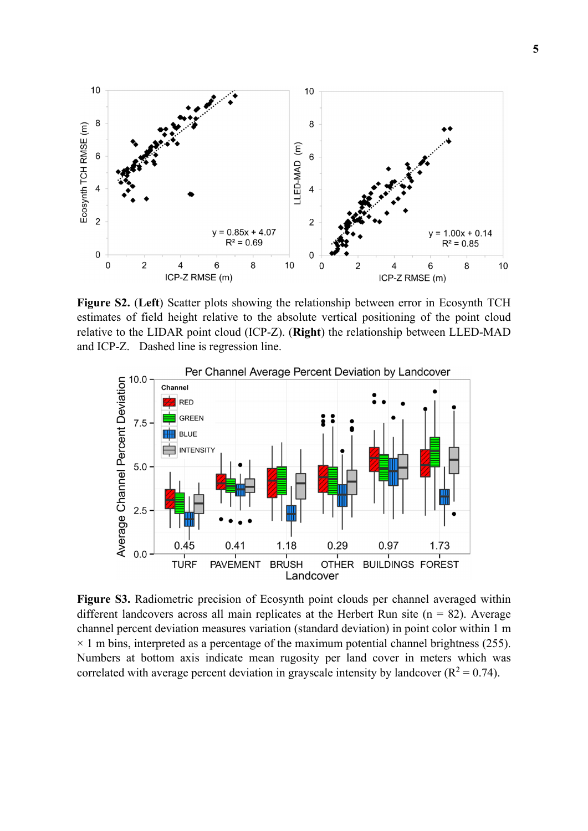

**Figure S2.** (**Left**) Scatter plots showing the relationship between error in Ecosynth TCH estimates of field height relative to the absolute vertical positioning of the point cloud relative to the LIDAR point cloud (ICP-Z). (**Right**) the relationship between LLED-MAD and ICP-Z. Dashed line is regression line.



**Figure S3.** Radiometric precision of Ecosynth point clouds per channel averaged within different landcovers across all main replicates at the Herbert Run site ( $n = 82$ ). Average channel percent deviation measures variation (standard deviation) in point color within 1 m  $\times$  1 m bins, interpreted as a percentage of the maximum potential channel brightness (255). Numbers at bottom axis indicate mean rugosity per land cover in meters which was correlated with average percent deviation in grayscale intensity by landcover ( $R^2 = 0.74$ ).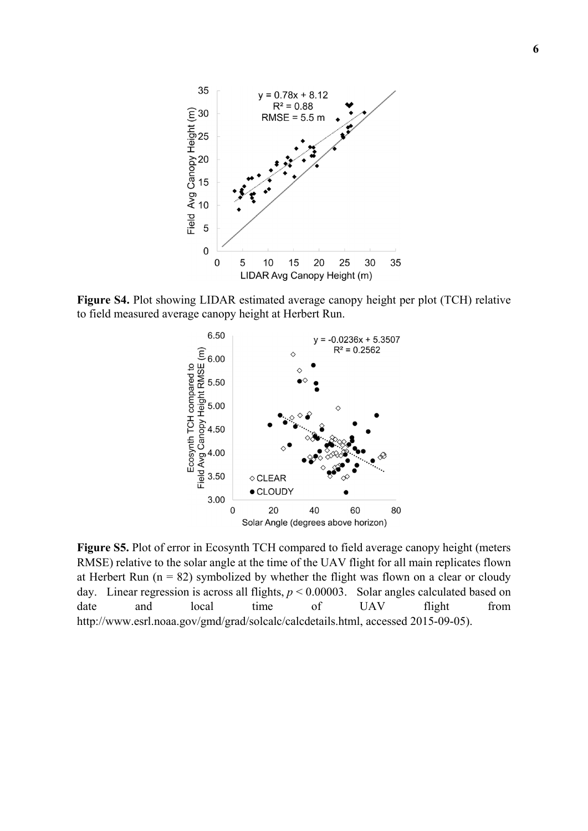

**Figure S4.** Plot showing LIDAR estimated average canopy height per plot (TCH) relative to field measured average canopy height at Herbert Run.



**Figure S5.** Plot of error in Ecosynth TCH compared to field average canopy height (meters RMSE) relative to the solar angle at the time of the UAV flight for all main replicates flown at Herbert Run ( $n = 82$ ) symbolized by whether the flight was flown on a clear or cloudy day. Linear regression is across all flights, *p* < 0.00003. Solar angles calculated based on date and local time of UAV flight from http://www.esrl.noaa.gov/gmd/grad/solcalc/calcdetails.html, accessed 2015-09-05).